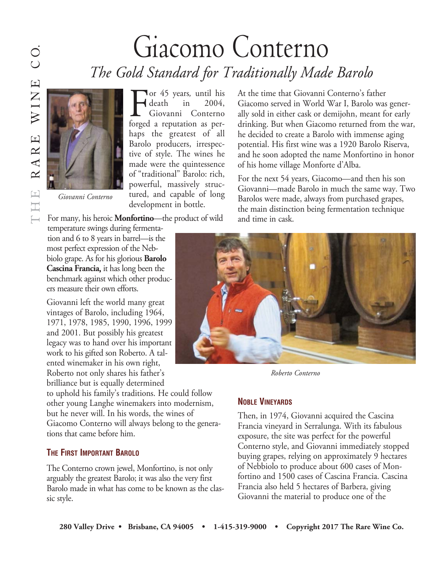## Giacomo Conterno *The Gold Standard for Traditionally Made Barolo*

death in 2004, Giovanni Conterno





For many, his heroic **Monfortino**—the product of wild

development in bottle.

temperature swings during fermentation and 6 to 8 years in barrel—is the most perfect expression of the Nebbiolo grape. As for his glorious **Barolo Cascina Francia**, it has long been the benchmark against which other producers measure their own efforts.

Giovanni left the world many great vintages of Barolo, including 1964, 1971, 1978, 1985, 1990, 1996, 1999 and 2001. But possibly his greatest legacy was to hand over his important work to his gifted son Roberto. A talented winemaker in his own right, Roberto not only shares his father's brilliance but is equally determined

to uphold his family's traditions. He could follow other young Langhe winemakers into modernism, but he never will. In his words, the wines of Giacomo Conterno will always belong to the generations that came before him.

## **THE FIRST IMPORTANT BAROLO**

The Conterno crown jewel, Monfortino, is not only arguably the greatest Barolo; it was also the very first Barolo made in what has come to be known as the classic style.

At the time that Giovanni Conterno's father Giacomo served in World War I, Barolo was generally sold in either cask or demijohn, meant for early drinking. But when Giacomo returned from the war, he decided to create a Barolo with immense aging potential. His first wine was a 1920 Barolo Riserva, and he soon adopted the name Monfortino in honor of his home village Monforte d'Alba.

For the next 54 years, Giacomo—and then his son Giovanni—made Barolo in much the same way. Two Barolos were made, always from purchased grapes, the main distinction being fermentation technique and time in cask.



*Roberto Conterno* 

## **NOBLE VINEYARDS**

Then, in 1974, Giovanni acquired the Cascina Francia vineyard in Serralunga. With its fabulous exposure, the site was perfect for the powerful Conterno style, and Giovanni immediately stopped buying grapes, relying on approximately 9 hectares of Nebbiolo to produce about 600 cases of Monfortino and 1500 cases of Cascina Francia. Cascina Francia also held 5 hectares of Barbera, giving Giovanni the material to produce one of the

 $O$